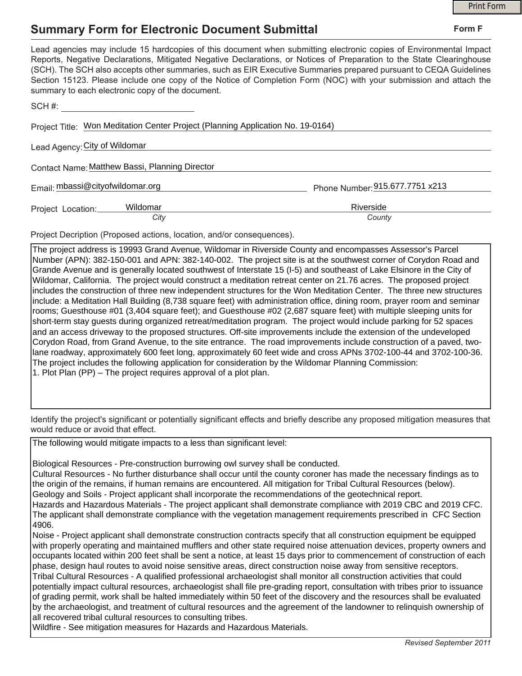## **Summary Form for Electronic Document Submittal**

|                                                                                                                                                                                                                                                                                                                                                                                                                                                                                                                                           | <b>Print Form</b>               |  |
|-------------------------------------------------------------------------------------------------------------------------------------------------------------------------------------------------------------------------------------------------------------------------------------------------------------------------------------------------------------------------------------------------------------------------------------------------------------------------------------------------------------------------------------------|---------------------------------|--|
| <b>Summary Form for Electronic Document Submittal</b>                                                                                                                                                                                                                                                                                                                                                                                                                                                                                     | Form F                          |  |
| Lead agencies may include 15 hardcopies of this document when submitting electronic copies of Environmental Impact<br>Reports, Negative Declarations, Mitigated Negative Declarations, or Notices of Preparation to the State Clearinghouse<br>(SCH). The SCH also accepts other summaries, such as EIR Executive Summaries prepared pursuant to CEQA Guidelines<br>Section 15123. Please include one copy of the Notice of Completion Form (NOC) with your submission and attach the<br>summary to each electronic copy of the document. |                                 |  |
| SCH #:                                                                                                                                                                                                                                                                                                                                                                                                                                                                                                                                    |                                 |  |
| Project Title: Won Meditation Center Project (Planning Application No. 19-0164)                                                                                                                                                                                                                                                                                                                                                                                                                                                           |                                 |  |
| Lead Agency: City of Wildomar                                                                                                                                                                                                                                                                                                                                                                                                                                                                                                             |                                 |  |
| Contact Name: Matthew Bassi, Planning Director                                                                                                                                                                                                                                                                                                                                                                                                                                                                                            |                                 |  |
| Email: mbassi@cityofwildomar.org                                                                                                                                                                                                                                                                                                                                                                                                                                                                                                          | Phone Number: 915.677.7751 x213 |  |
| Wildomar<br>Project Location:<br>City                                                                                                                                                                                                                                                                                                                                                                                                                                                                                                     | Riverside<br>County             |  |

Project Decription (Proposed actions, location, and/or consequences).

The project address is 19993 Grand Avenue, Wildomar in Riverside County and encompasses Assessor's Parcel Number (APN): 382-150-001 and APN: 382-140-002. The project site is at the southwest corner of Corydon Road and Grande Avenue and is generally located southwest of Interstate 15 (I-5) and southeast of Lake Elsinore in the City of Wildomar, California. The project would construct a meditation retreat center on 21.76 acres. The proposed project includes the construction of three new independent structures for the Won Meditation Center. The three new structures include: a Meditation Hall Building (8,738 square feet) with administration office, dining room, prayer room and seminar rooms; Guesthouse #01 (3,404 square feet); and Guesthouse #02 (2,687 square feet) with multiple sleeping units for short-term stay guests during organized retreat/meditation program. The project would include parking for 52 spaces and an access driveway to the proposed structures. Off-site improvements include the extension of the undeveloped Corydon Road, from Grand Avenue, to the site entrance. The road improvements include construction of a paved, twolane roadway, approximately 600 feet long, approximately 60 feet wide and cross APNs 3702-100-44 and 3702-100-36. The project includes the following application for consideration by the Wildomar Planning Commission: 1. Plot Plan (PP) – The project requires approval of a plot plan.

Identify the project's significant or potentially significant effects and briefly describe any proposed mitigation measures that would reduce or avoid that effect.

The following would mitigate impacts to a less than significant level:

Biological Resources - Pre-construction burrowing owl survey shall be conducted.

Cultural Resources - No further disturbance shall occur until the county coroner has made the necessary findings as to the origin of the remains, if human remains are encountered. All mitigation for Tribal Cultural Resources (below).

Geology and Soils - Project applicant shall incorporate the recommendations of the geotechnical report.

Hazards and Hazardous Materials - The project applicant shall demonstrate compliance with 2019 CBC and 2019 CFC. The applicant shall demonstrate compliance with the vegetation management requirements prescribed in CFC Section 4906.

Noise - Project applicant shall demonstrate construction contracts specify that all construction equipment be equipped with properly operating and maintained mufflers and other state required noise attenuation devices, property owners and occupants located within 200 feet shall be sent a notice, at least 15 days prior to commencement of construction of each phase, design haul routes to avoid noise sensitive areas, direct construction noise away from sensitive receptors. Tribal Cultural Resources - A qualified professional archaeologist shall monitor all construction activities that could potentially impact cultural resources, archaeologist shall file pre-grading report, consultation with tribes prior to issuance of grading permit, work shall be halted immediately within 50 feet of the discovery and the resources shall be evaluated by the archaeologist, and treatment of cultural resources and the agreement of the landowner to relinquish ownership of all recovered tribal cultural resources to consulting tribes.

Wildfire - See mitigation measures for Hazards and Hazardous Materials.